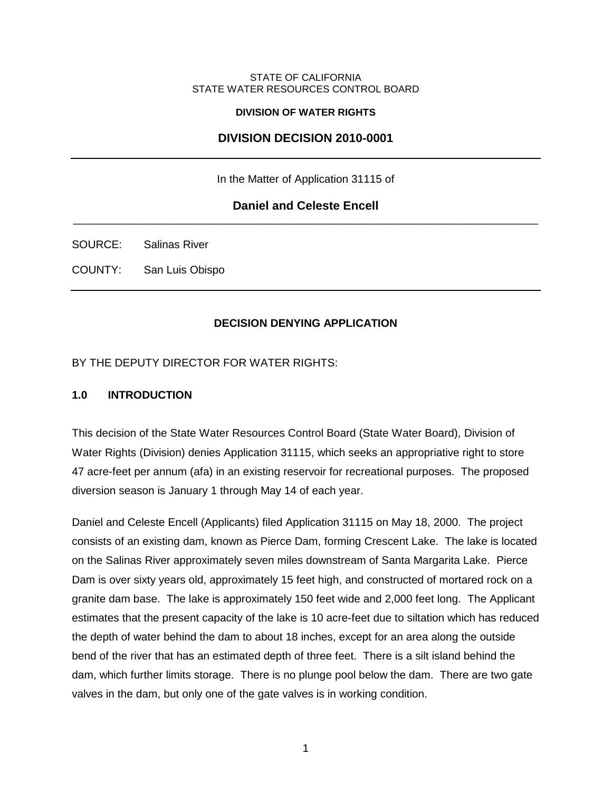#### STATE OF CALIFORNIA STATE WATER RESOURCES CONTROL BOARD

#### **DIVISION OF WATER RIGHTS**

## **DIVISION DECISION 2010-0001**

In the Matter of Application 31115 of

#### **Daniel and Celeste Encell** \_\_\_\_\_\_\_\_\_\_\_\_\_\_\_\_\_\_\_\_\_\_\_\_\_\_\_\_\_\_\_\_\_\_\_\_\_\_\_\_\_\_\_\_\_\_\_\_\_\_\_\_\_\_\_\_\_\_\_\_\_\_\_\_\_\_\_\_\_\_\_\_\_\_\_\_

SOURCE: Salinas River

COUNTY: San Luis Obispo

#### **DECISION DENYING APPLICATION**

BY THE DEPUTY DIRECTOR FOR WATER RIGHTS:

#### **1.0 INTRODUCTION**

This decision of the State Water Resources Control Board (State Water Board), Division of Water Rights (Division) denies Application 31115, which seeks an appropriative right to store 47 acre-feet per annum (afa) in an existing reservoir for recreational purposes. The proposed diversion season is January 1 through May 14 of each year.

Daniel and Celeste Encell (Applicants) filed Application 31115 on May 18, 2000. The project consists of an existing dam, known as Pierce Dam, forming Crescent Lake. The lake is located on the Salinas River approximately seven miles downstream of Santa Margarita Lake. Pierce Dam is over sixty years old, approximately 15 feet high, and constructed of mortared rock on a granite dam base. The lake is approximately 150 feet wide and 2,000 feet long. The Applicant estimates that the present capacity of the lake is 10 acre-feet due to siltation which has reduced the depth of water behind the dam to about 18 inches, except for an area along the outside bend of the river that has an estimated depth of three feet. There is a silt island behind the dam, which further limits storage. There is no plunge pool below the dam. There are two gate valves in the dam, but only one of the gate valves is in working condition.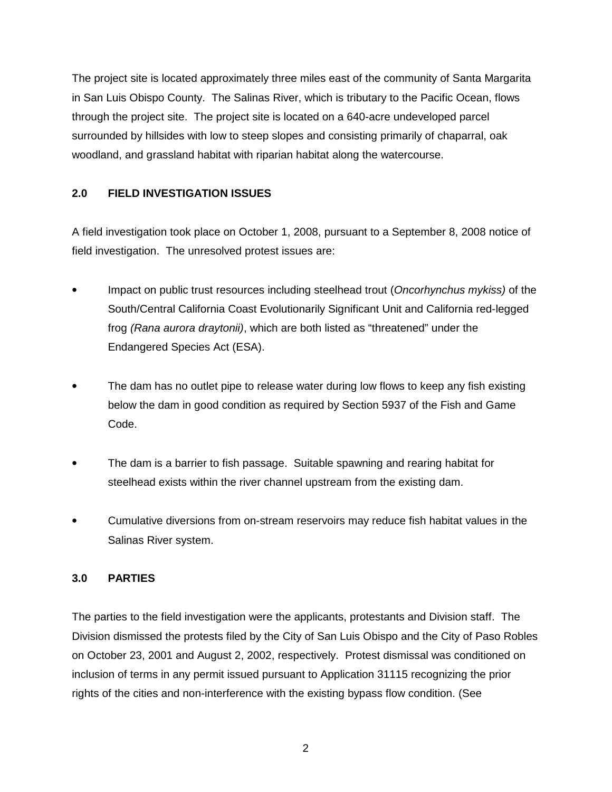The project site is located approximately three miles east of the community of Santa Margarita in San Luis Obispo County. The Salinas River, which is tributary to the Pacific Ocean, flows through the project site. The project site is located on a 640-acre undeveloped parcel surrounded by hillsides with low to steep slopes and consisting primarily of chaparral, oak woodland, and grassland habitat with riparian habitat along the watercourse.

## **2.0 FIELD INVESTIGATION ISSUES**

A field investigation took place on October 1, 2008, pursuant to a September 8, 2008 notice of field investigation. The unresolved protest issues are:

- Impact on public trust resources including steelhead trout (Oncorhynchus mykiss) of the South/Central California Coast Evolutionarily Significant Unit and California red-legged frog (Rana aurora draytonii), which are both listed as "threatened" under the Endangered Species Act (ESA).
- The dam has no outlet pipe to release water during low flows to keep any fish existing below the dam in good condition as required by Section 5937 of the Fish and Game Code.
- The dam is a barrier to fish passage. Suitable spawning and rearing habitat for steelhead exists within the river channel upstream from the existing dam.
- Cumulative diversions from on-stream reservoirs may reduce fish habitat values in the Salinas River system.

## **3.0 PARTIES**

The parties to the field investigation were the applicants, protestants and Division staff. The Division dismissed the protests filed by the City of San Luis Obispo and the City of Paso Robles on October 23, 2001 and August 2, 2002, respectively. Protest dismissal was conditioned on inclusion of terms in any permit issued pursuant to Application 31115 recognizing the prior rights of the cities and non-interference with the existing bypass flow condition. (See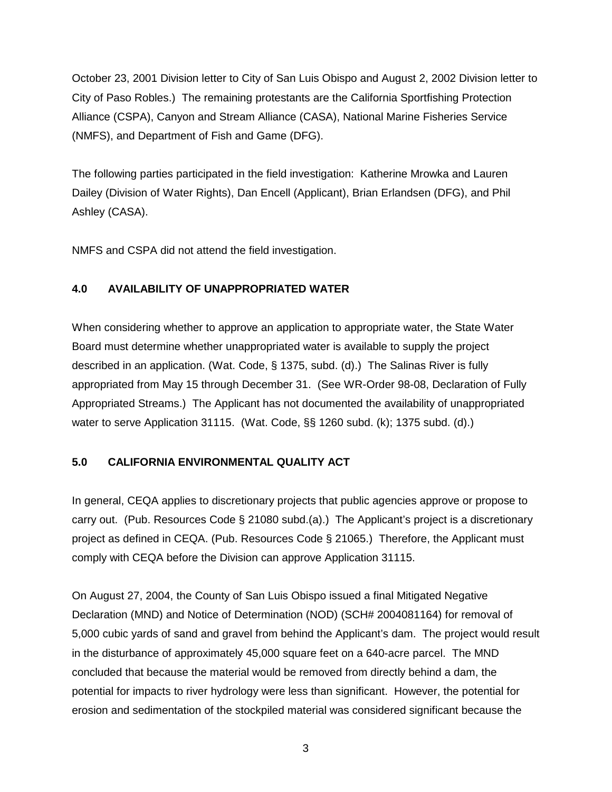October 23, 2001 Division letter to City of San Luis Obispo and August 2, 2002 Division letter to City of Paso Robles.) The remaining protestants are the California Sportfishing Protection Alliance (CSPA), Canyon and Stream Alliance (CASA), National Marine Fisheries Service (NMFS), and Department of Fish and Game (DFG).

The following parties participated in the field investigation: Katherine Mrowka and Lauren Dailey (Division of Water Rights), Dan Encell (Applicant), Brian Erlandsen (DFG), and Phil Ashley (CASA).

NMFS and CSPA did not attend the field investigation.

## **4.0 AVAILABILITY OF UNAPPROPRIATED WATER**

When considering whether to approve an application to appropriate water, the State Water Board must determine whether unappropriated water is available to supply the project described in an application. (Wat. Code, § 1375, subd. (d).) The Salinas River is fully appropriated from May 15 through December 31. (See WR-Order 98-08, Declaration of Fully Appropriated Streams.) The Applicant has not documented the availability of unappropriated water to serve Application 31115. (Wat. Code, §§ 1260 subd. (k); 1375 subd. (d).)

## **5.0 CALIFORNIA ENVIRONMENTAL QUALITY ACT**

In general, CEQA applies to discretionary projects that public agencies approve or propose to carry out. (Pub. Resources Code § 21080 subd.(a).) The Applicant's project is a discretionary project as defined in CEQA. (Pub. Resources Code § 21065.) Therefore, the Applicant must comply with CEQA before the Division can approve Application 31115.

On August 27, 2004, the County of San Luis Obispo issued a final Mitigated Negative Declaration (MND) and Notice of Determination (NOD) (SCH# 2004081164) for removal of 5,000 cubic yards of sand and gravel from behind the Applicant's dam. The project would result in the disturbance of approximately 45,000 square feet on a 640-acre parcel. The MND concluded that because the material would be removed from directly behind a dam, the potential for impacts to river hydrology were less than significant. However, the potential for erosion and sedimentation of the stockpiled material was considered significant because the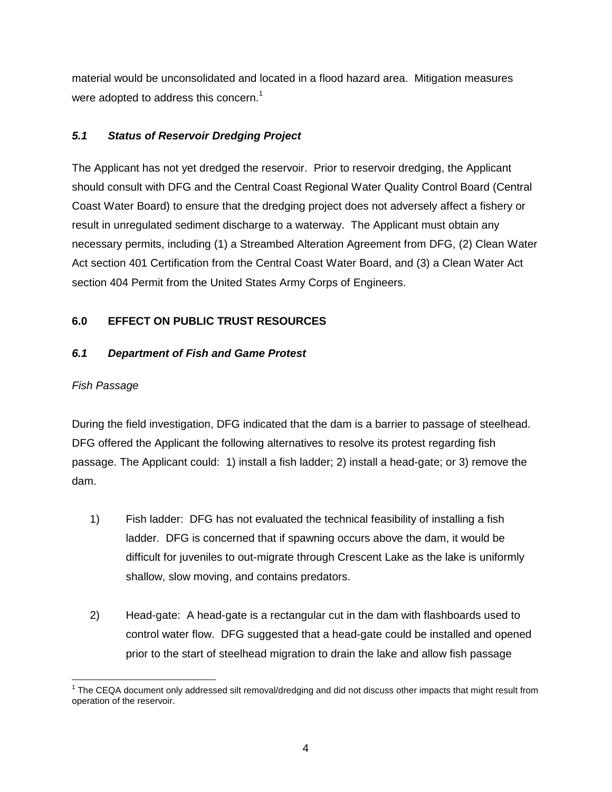material would be unconsolidated and located in a flood hazard area. Mitigation measures were adopted to address this concern.<sup>1</sup>

# **5.1 Status of Reservoir Dredging Project**

The Applicant has not yet dredged the reservoir. Prior to reservoir dredging, the Applicant should consult with DFG and the Central Coast Regional Water Quality Control Board (Central Coast Water Board) to ensure that the dredging project does not adversely affect a fishery or result in unregulated sediment discharge to a waterway. The Applicant must obtain any necessary permits, including (1) a Streambed Alteration Agreement from DFG, (2) Clean Water Act section 401 Certification from the Central Coast Water Board, and (3) a Clean Water Act section 404 Permit from the United States Army Corps of Engineers.

# **6.0 EFFECT ON PUBLIC TRUST RESOURCES**

# **6.1 Department of Fish and Game Protest**

# Fish Passage

During the field investigation, DFG indicated that the dam is a barrier to passage of steelhead. DFG offered the Applicant the following alternatives to resolve its protest regarding fish passage. The Applicant could: 1) install a fish ladder; 2) install a head-gate; or 3) remove the dam.

- 1) Fish ladder: DFG has not evaluated the technical feasibility of installing a fish ladder. DFG is concerned that if spawning occurs above the dam, it would be difficult for juveniles to out-migrate through Crescent Lake as the lake is uniformly shallow, slow moving, and contains predators.
- 2) Head-gate: A head-gate is a rectangular cut in the dam with flashboards used to control water flow. DFG suggested that a head-gate could be installed and opened prior to the start of steelhead migration to drain the lake and allow fish passage

<sup>&</sup>lt;sup>1</sup> The CEQA document only addressed silt removal/dredging and did not discuss other impacts that might result from operation of the reservoir.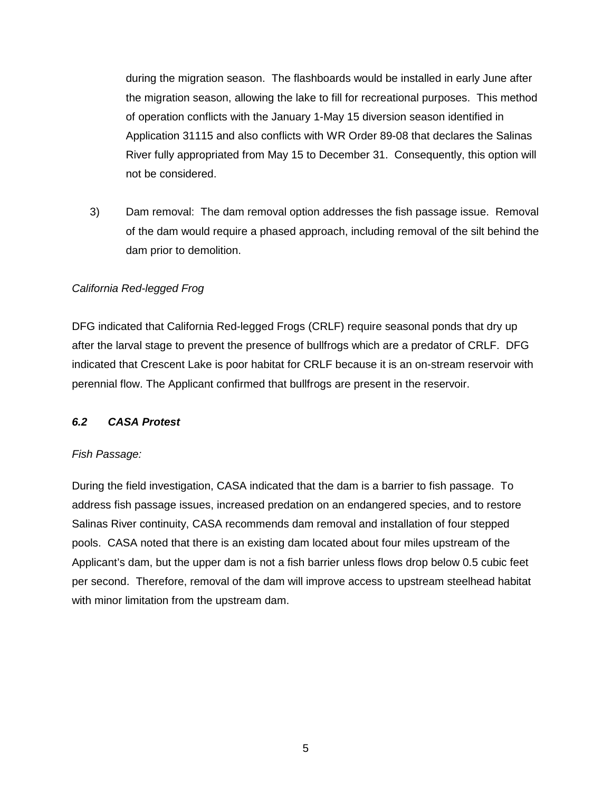during the migration season. The flashboards would be installed in early June after the migration season, allowing the lake to fill for recreational purposes. This method of operation conflicts with the January 1-May 15 diversion season identified in Application 31115 and also conflicts with WR Order 89-08 that declares the Salinas River fully appropriated from May 15 to December 31. Consequently, this option will not be considered.

3) Dam removal: The dam removal option addresses the fish passage issue. Removal of the dam would require a phased approach, including removal of the silt behind the dam prior to demolition.

#### California Red-legged Frog

DFG indicated that California Red-legged Frogs (CRLF) require seasonal ponds that dry up after the larval stage to prevent the presence of bullfrogs which are a predator of CRLF. DFG indicated that Crescent Lake is poor habitat for CRLF because it is an on-stream reservoir with perennial flow. The Applicant confirmed that bullfrogs are present in the reservoir.

#### **6.2 CASA Protest**

#### Fish Passage:

During the field investigation, CASA indicated that the dam is a barrier to fish passage. To address fish passage issues, increased predation on an endangered species, and to restore Salinas River continuity, CASA recommends dam removal and installation of four stepped pools. CASA noted that there is an existing dam located about four miles upstream of the Applicant's dam, but the upper dam is not a fish barrier unless flows drop below 0.5 cubic feet per second. Therefore, removal of the dam will improve access to upstream steelhead habitat with minor limitation from the upstream dam.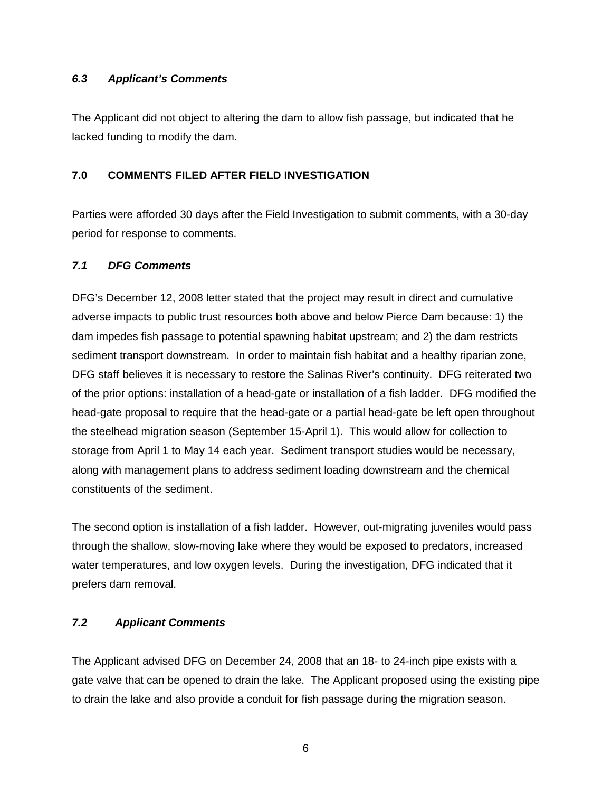### **6.3 Applicant's Comments**

The Applicant did not object to altering the dam to allow fish passage, but indicated that he lacked funding to modify the dam.

## **7.0 COMMENTS FILED AFTER FIELD INVESTIGATION**

Parties were afforded 30 days after the Field Investigation to submit comments, with a 30-day period for response to comments.

### **7.1 DFG Comments**

DFG's December 12, 2008 letter stated that the project may result in direct and cumulative adverse impacts to public trust resources both above and below Pierce Dam because: 1) the dam impedes fish passage to potential spawning habitat upstream; and 2) the dam restricts sediment transport downstream. In order to maintain fish habitat and a healthy riparian zone, DFG staff believes it is necessary to restore the Salinas River's continuity. DFG reiterated two of the prior options: installation of a head-gate or installation of a fish ladder. DFG modified the head-gate proposal to require that the head-gate or a partial head-gate be left open throughout the steelhead migration season (September 15-April 1). This would allow for collection to storage from April 1 to May 14 each year. Sediment transport studies would be necessary, along with management plans to address sediment loading downstream and the chemical constituents of the sediment.

The second option is installation of a fish ladder. However, out-migrating juveniles would pass through the shallow, slow-moving lake where they would be exposed to predators, increased water temperatures, and low oxygen levels. During the investigation, DFG indicated that it prefers dam removal.

## **7.2 Applicant Comments**

The Applicant advised DFG on December 24, 2008 that an 18- to 24-inch pipe exists with a gate valve that can be opened to drain the lake. The Applicant proposed using the existing pipe to drain the lake and also provide a conduit for fish passage during the migration season.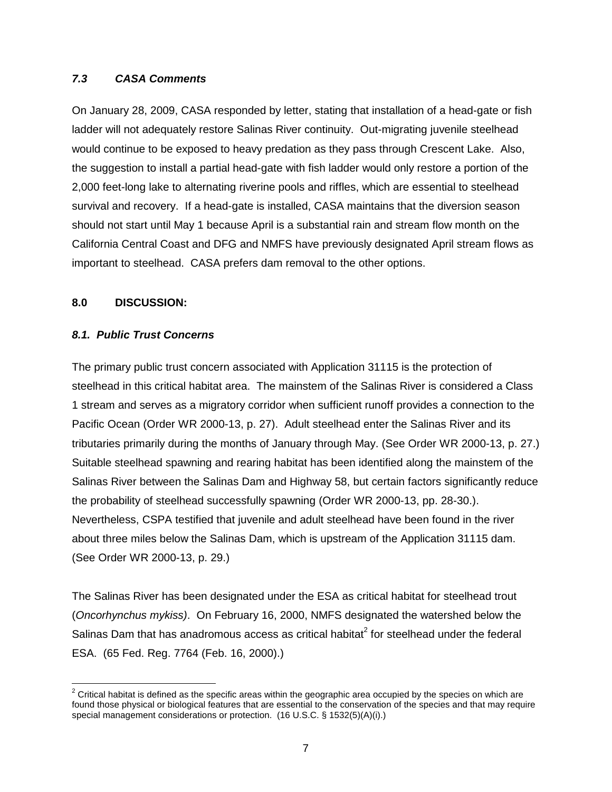#### **7.3 CASA Comments**

On January 28, 2009, CASA responded by letter, stating that installation of a head-gate or fish ladder will not adequately restore Salinas River continuity. Out-migrating juvenile steelhead would continue to be exposed to heavy predation as they pass through Crescent Lake. Also, the suggestion to install a partial head-gate with fish ladder would only restore a portion of the 2,000 feet-long lake to alternating riverine pools and riffles, which are essential to steelhead survival and recovery. If a head-gate is installed, CASA maintains that the diversion season should not start until May 1 because April is a substantial rain and stream flow month on the California Central Coast and DFG and NMFS have previously designated April stream flows as important to steelhead. CASA prefers dam removal to the other options.

#### **8.0 DISCUSSION:**

#### **8.1. Public Trust Concerns**

The primary public trust concern associated with Application 31115 is the protection of steelhead in this critical habitat area. The mainstem of the Salinas River is considered a Class 1 stream and serves as a migratory corridor when sufficient runoff provides a connection to the Pacific Ocean (Order WR 2000-13, p. 27). Adult steelhead enter the Salinas River and its tributaries primarily during the months of January through May. (See Order WR 2000-13, p. 27.) Suitable steelhead spawning and rearing habitat has been identified along the mainstem of the Salinas River between the Salinas Dam and Highway 58, but certain factors significantly reduce the probability of steelhead successfully spawning (Order WR 2000-13, pp. 28-30.). Nevertheless, CSPA testified that juvenile and adult steelhead have been found in the river about three miles below the Salinas Dam, which is upstream of the Application 31115 dam. (See Order WR 2000-13, p. 29.)

The Salinas River has been designated under the ESA as critical habitat for steelhead trout (Oncorhynchus mykiss). On February 16, 2000, NMFS designated the watershed below the Salinas Dam that has anadromous access as critical habitat<sup>2</sup> for steelhead under the federal ESA. (65 Fed. Reg. 7764 (Feb. 16, 2000).)

 $2$  Critical habitat is defined as the specific areas within the geographic area occupied by the species on which are found those physical or biological features that are essential to the conservation of the species and that may require special management considerations or protection. (16 U.S.C. § 1532(5)(A)(i).)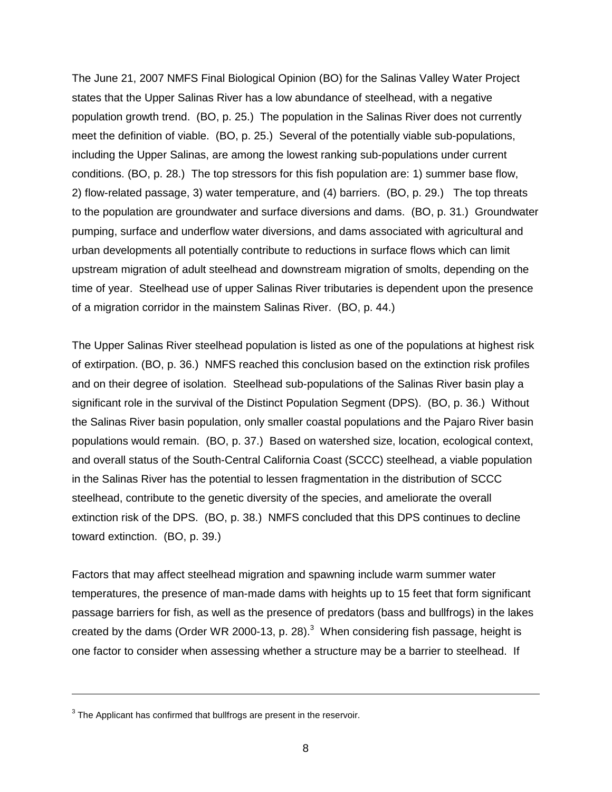The June 21, 2007 NMFS Final Biological Opinion (BO) for the Salinas Valley Water Project states that the Upper Salinas River has a low abundance of steelhead, with a negative population growth trend. (BO, p. 25.) The population in the Salinas River does not currently meet the definition of viable. (BO, p. 25.) Several of the potentially viable sub-populations, including the Upper Salinas, are among the lowest ranking sub-populations under current conditions. (BO, p. 28.) The top stressors for this fish population are: 1) summer base flow, 2) flow-related passage, 3) water temperature, and (4) barriers. (BO, p. 29.) The top threats to the population are groundwater and surface diversions and dams. (BO, p. 31.) Groundwater pumping, surface and underflow water diversions, and dams associated with agricultural and urban developments all potentially contribute to reductions in surface flows which can limit upstream migration of adult steelhead and downstream migration of smolts, depending on the time of year. Steelhead use of upper Salinas River tributaries is dependent upon the presence of a migration corridor in the mainstem Salinas River. (BO, p. 44.)

The Upper Salinas River steelhead population is listed as one of the populations at highest risk of extirpation. (BO, p. 36.) NMFS reached this conclusion based on the extinction risk profiles and on their degree of isolation. Steelhead sub-populations of the Salinas River basin play a significant role in the survival of the Distinct Population Segment (DPS). (BO, p. 36.) Without the Salinas River basin population, only smaller coastal populations and the Pajaro River basin populations would remain. (BO, p. 37.) Based on watershed size, location, ecological context, and overall status of the South-Central California Coast (SCCC) steelhead, a viable population in the Salinas River has the potential to lessen fragmentation in the distribution of SCCC steelhead, contribute to the genetic diversity of the species, and ameliorate the overall extinction risk of the DPS. (BO, p. 38.) NMFS concluded that this DPS continues to decline toward extinction. (BO, p. 39.)

Factors that may affect steelhead migration and spawning include warm summer water temperatures, the presence of man-made dams with heights up to 15 feet that form significant passage barriers for fish, as well as the presence of predators (bass and bullfrogs) in the lakes created by the dams (Order WR 2000-13, p. 28). $^3$  When considering fish passage, height is one factor to consider when assessing whether a structure may be a barrier to steelhead. If

 $3$  The Applicant has confirmed that bullfrogs are present in the reservoir.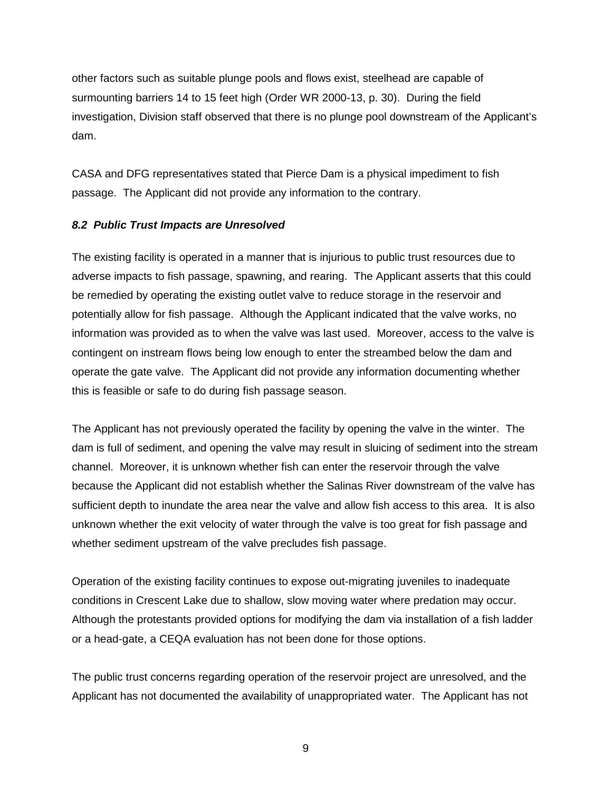other factors such as suitable plunge pools and flows exist, steelhead are capable of surmounting barriers 14 to 15 feet high (Order WR 2000-13, p. 30). During the field investigation, Division staff observed that there is no plunge pool downstream of the Applicant's dam.

CASA and DFG representatives stated that Pierce Dam is a physical impediment to fish passage. The Applicant did not provide any information to the contrary.

#### **8.2 Public Trust Impacts are Unresolved**

The existing facility is operated in a manner that is injurious to public trust resources due to adverse impacts to fish passage, spawning, and rearing. The Applicant asserts that this could be remedied by operating the existing outlet valve to reduce storage in the reservoir and potentially allow for fish passage. Although the Applicant indicated that the valve works, no information was provided as to when the valve was last used. Moreover, access to the valve is contingent on instream flows being low enough to enter the streambed below the dam and operate the gate valve. The Applicant did not provide any information documenting whether this is feasible or safe to do during fish passage season.

The Applicant has not previously operated the facility by opening the valve in the winter. The dam is full of sediment, and opening the valve may result in sluicing of sediment into the stream channel. Moreover, it is unknown whether fish can enter the reservoir through the valve because the Applicant did not establish whether the Salinas River downstream of the valve has sufficient depth to inundate the area near the valve and allow fish access to this area. It is also unknown whether the exit velocity of water through the valve is too great for fish passage and whether sediment upstream of the valve precludes fish passage.

Operation of the existing facility continues to expose out-migrating juveniles to inadequate conditions in Crescent Lake due to shallow, slow moving water where predation may occur. Although the protestants provided options for modifying the dam via installation of a fish ladder or a head-gate, a CEQA evaluation has not been done for those options.

The public trust concerns regarding operation of the reservoir project are unresolved, and the Applicant has not documented the availability of unappropriated water. The Applicant has not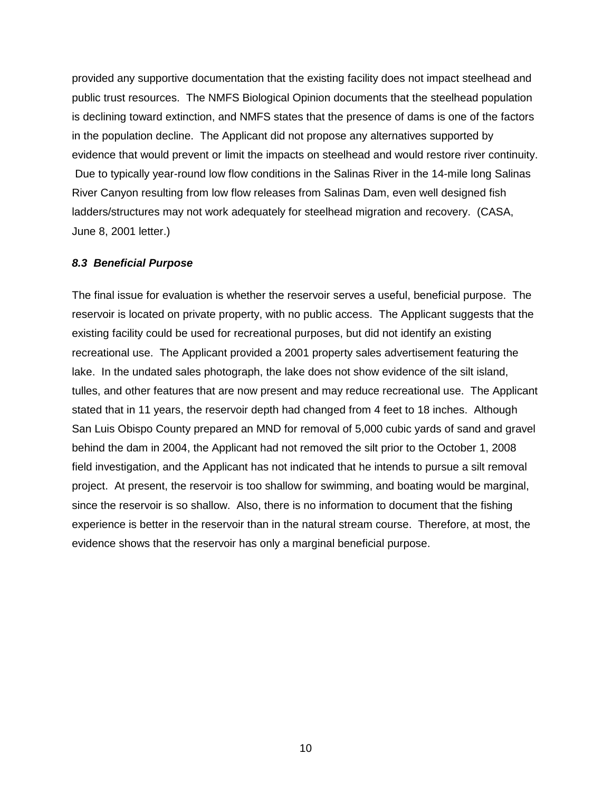provided any supportive documentation that the existing facility does not impact steelhead and public trust resources. The NMFS Biological Opinion documents that the steelhead population is declining toward extinction, and NMFS states that the presence of dams is one of the factors in the population decline. The Applicant did not propose any alternatives supported by evidence that would prevent or limit the impacts on steelhead and would restore river continuity. Due to typically year-round low flow conditions in the Salinas River in the 14-mile long Salinas River Canyon resulting from low flow releases from Salinas Dam, even well designed fish ladders/structures may not work adequately for steelhead migration and recovery. (CASA, June 8, 2001 letter.)

#### **8.3 Beneficial Purpose**

The final issue for evaluation is whether the reservoir serves a useful, beneficial purpose. The reservoir is located on private property, with no public access. The Applicant suggests that the existing facility could be used for recreational purposes, but did not identify an existing recreational use. The Applicant provided a 2001 property sales advertisement featuring the lake. In the undated sales photograph, the lake does not show evidence of the silt island, tulles, and other features that are now present and may reduce recreational use. The Applicant stated that in 11 years, the reservoir depth had changed from 4 feet to 18 inches. Although San Luis Obispo County prepared an MND for removal of 5,000 cubic yards of sand and gravel behind the dam in 2004, the Applicant had not removed the silt prior to the October 1, 2008 field investigation, and the Applicant has not indicated that he intends to pursue a silt removal project. At present, the reservoir is too shallow for swimming, and boating would be marginal, since the reservoir is so shallow. Also, there is no information to document that the fishing experience is better in the reservoir than in the natural stream course. Therefore, at most, the evidence shows that the reservoir has only a marginal beneficial purpose.